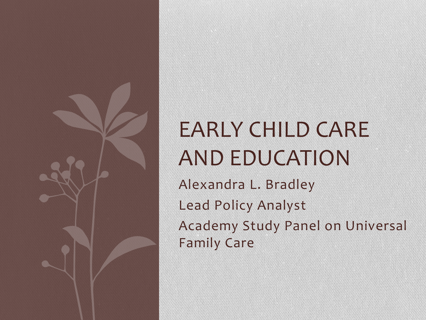

# EARLY CHILD CARE AND EDUCATION

Alexandra L. Bradley Lead Policy Analyst Academy Study Panel on Universal Family Care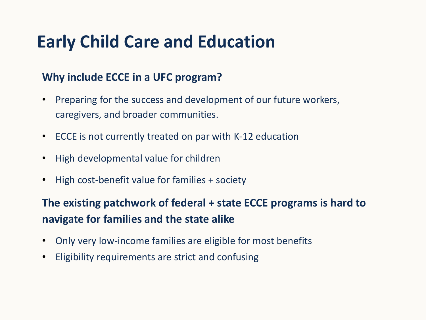## **Early Child Care and Education**

### **Why include ECCE in a UFC program?**

- Preparing for the success and development of our future workers, caregivers, and broader communities.
- ECCE is not currently treated on par with K-12 education
- High developmental value for children
- High cost-benefit value for families + society

**The existing patchwork of federal + state ECCE programs is hard to navigate for families and the state alike** 

- Only very low-income families are eligible for most benefits
- Eligibility requirements are strict and confusing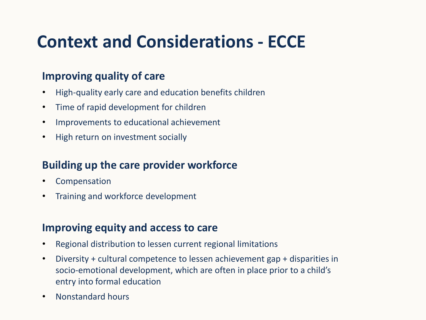# **Context and Considerations - ECCE**

### **Improving quality of care**

- High-quality early care and education benefits children
- Time of rapid development for children
- Improvements to educational achievement
- High return on investment socially

### **Building up the care provider workforce**

- Compensation
- Training and workforce development

### **Improving equity and access to care**

- Regional distribution to lessen current regional limitations
- Diversity + cultural competence to lessen achievement gap + disparities in socio-emotional development, which are often in place prior to a child's entry into formal education
- Nonstandard hours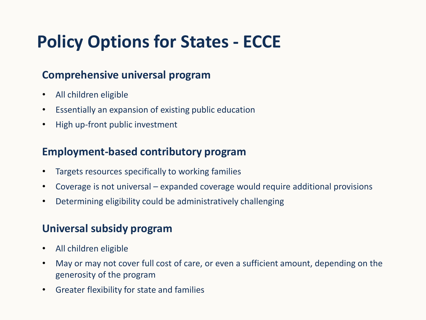# **Policy Options for States - ECCE**

### **Comprehensive universal program**

- All children eligible
- Essentially an expansion of existing public education
- High up-front public investment

### **Employment-based contributory program**

- Targets resources specifically to working families
- Coverage is not universal expanded coverage would require additional provisions
- Determining eligibility could be administratively challenging

### **Universal subsidy program**

- All children eligible
- May or may not cover full cost of care, or even a sufficient amount, depending on the generosity of the program
- Greater flexibility for state and families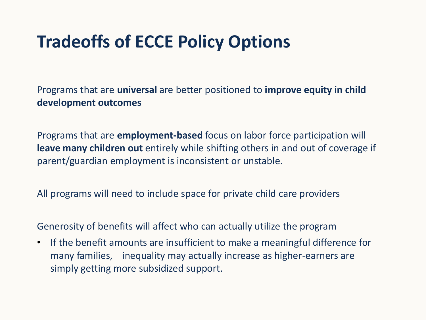# **Tradeoffs of ECCE Policy Options**

Programs that are **universal** are better positioned to **improve equity in child development outcomes**

Programs that are **employment-based** focus on labor force participation will **leave many children out** entirely while shifting others in and out of coverage if parent/guardian employment is inconsistent or unstable.

All programs will need to include space for private child care providers

Generosity of benefits will affect who can actually utilize the program

• If the benefit amounts are insufficient to make a meaningful difference for many families, inequality may actually increase as higher-earners are simply getting more subsidized support.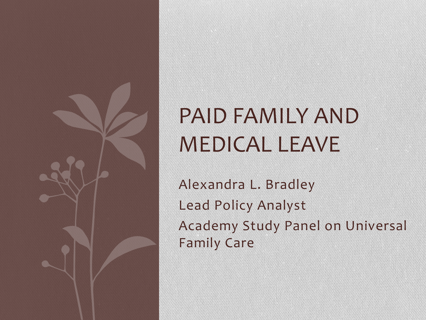

# PAID FAMILY AND MEDICAL LEAVE

Alexandra L. Bradley Lead Policy Analyst Academy Study Panel on Universal Family Care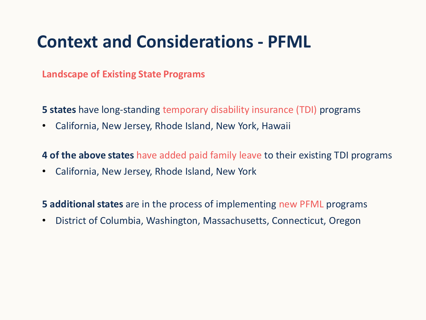## **Context and Considerations - PFML**

**Landscape of Existing State Programs**

**5 states** have long-standing temporary disability insurance (TDI) programs

• California, New Jersey, Rhode Island, New York, Hawaii

**4 of the above states** have added paid family leave to their existing TDI programs

• California, New Jersey, Rhode Island, New York

**5 additional states** are in the process of implementing new PFML programs

• District of Columbia, Washington, Massachusetts, Connecticut, Oregon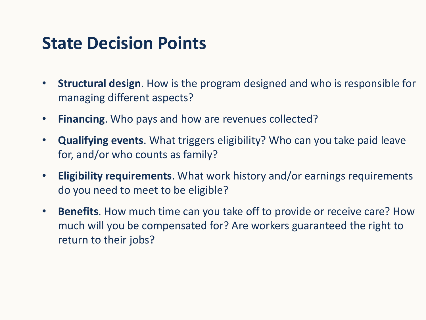### **State Decision Points**

- **Structural design**. How is the program designed and who is responsible for managing different aspects?
- **Financing**. Who pays and how are revenues collected?
- **Qualifying events**. What triggers eligibility? Who can you take paid leave for, and/or who counts as family?
- **Eligibility requirements**. What work history and/or earnings requirements do you need to meet to be eligible?
- **Benefits**. How much time can you take off to provide or receive care? How much will you be compensated for? Are workers guaranteed the right to return to their jobs?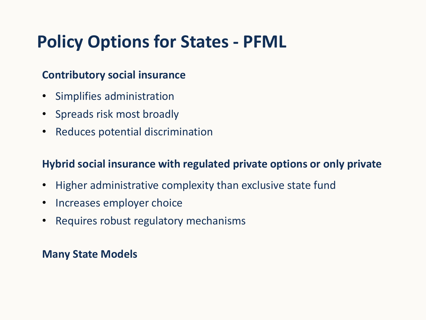# **Policy Options for States - PFML**

### **Contributory social insurance**

- Simplifies administration
- Spreads risk most broadly
- Reduces potential discrimination

### **Hybrid social insurance with regulated private options or only private**

- Higher administrative complexity than exclusive state fund
- Increases employer choice
- Requires robust regulatory mechanisms

### **Many State Models**